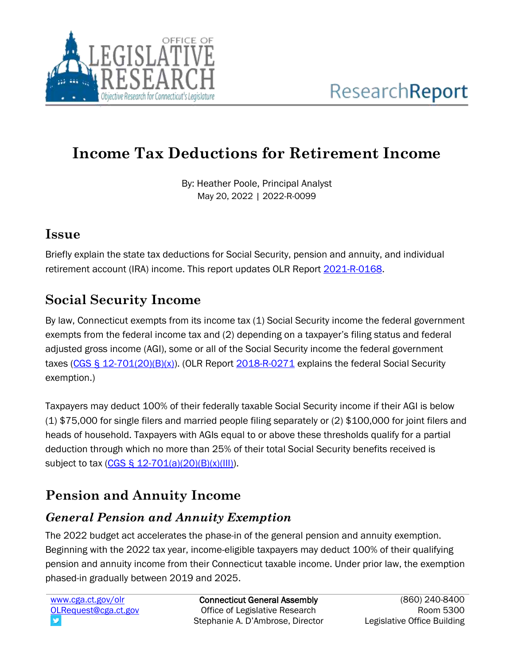

# **Income Tax Deductions for Retirement Income**

By: Heather Poole, Principal Analyst May 20, 2022 | 2022-R-0099

#### **Issue**

Briefly explain the state tax deductions for Social Security, pension and annuity, and individual retirement account (IRA) income. This report updates OLR Report [2021-R-0168.](https://www.cga.ct.gov/2021/rpt/pdf/2021-R-0168.pdf)

### **Social Security Income**

By law, Connecticut exempts from its income tax (1) Social Security income the federal government exempts from the federal income tax and (2) depending on a taxpayer's filing status and federal adjusted gross income (AGI), some or all of the Social Security income the federal government taxes  $(CGS \S 12-701(20)(B)(x))$ . (OLR Report  $2018-R-0271$  explains the federal Social Security exemption.)

Taxpayers may deduct 100% of their federally taxable Social Security income if their AGI is below (1) \$75,000 for single filers and married people filing separately or (2) \$100,000 for joint filers and heads of household. Taxpayers with AGIs equal to or above these thresholds qualify for a partial deduction through which no more than 25% of their total Social Security benefits received is subject to tax  $(CGS \S 12-701(a)(20)(B)(x)(III)).$ 

## **Pension and Annuity Income**

#### *General Pension and Annuity Exemption*

The 2022 budget act accelerates the phase-in of the general pension and annuity exemption. Beginning with the 2022 tax year, income-eligible taxpayers may deduct 100% of their qualifying pension and annuity income from their Connecticut taxable income. Under prior law, the exemption phased-in gradually between 2019 and 2025.